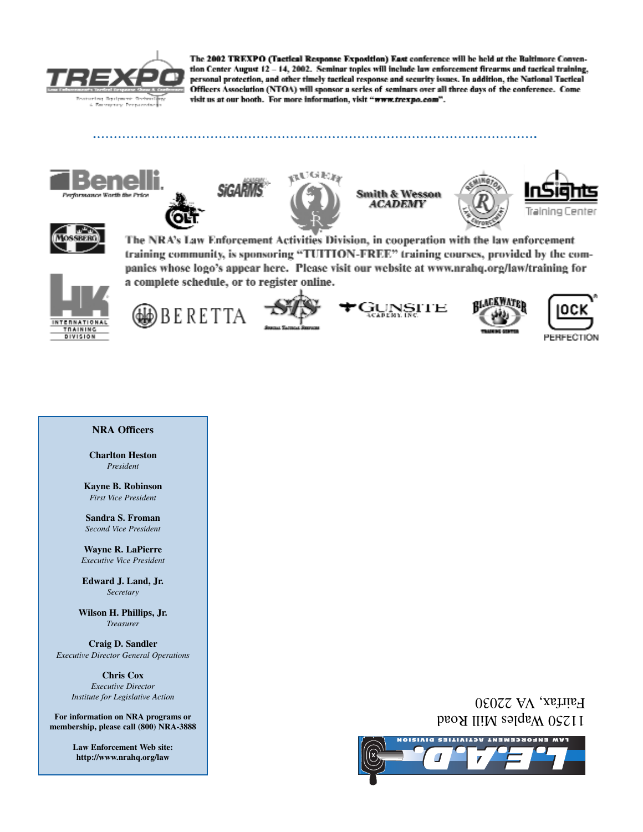

The 2002 TREXPO (Tactical Response Exposition) East conference will be held at the Baltimore Convention Center August 12 - 14, 2002. Seminar topics will include law enforcement firearms and tactical training, personal protection, and other timely tactical response and security issues. In addition, the National Tactical Officers Association (NTOA) will sponsor a series of seminars over all three days of the conference. Come visit us at our booth. For more information, visit "www.trexpo.com".





**SiCAR** 









The NRA's Law Enforcement Activities Division, in cooperation with the law enforcement training community, is sponsoring "TUITION-FREE" training courses, provided by the companies whose logo's appear here. Please visit our website at www.nrahq.org/law/training for a complete schedule, or to register online.













#### **NRA Officers**

**Charlton Heston** *President*

**Kayne B. Robinson** *First Vice President*

**Sandra S. Froman** *Second Vice President*

**Wayne R. LaPierre** *Executive Vice President*

**Edward J. Land, Jr.** *Secretary*

**Wilson H. Phillips, Jr.** *Treasurer*

**Craig D. Sandler** *Executive Director General Operations*

> **Chris Cox** *Executive Director Institute for Legislative Action*

**For information on NRA programs or membership, please call (800) NRA-3888**

> **Law Enforcement Web site: http://www.nrahq.org/law**

## 11250 Waples Mill Road Pairfax, VA 22030

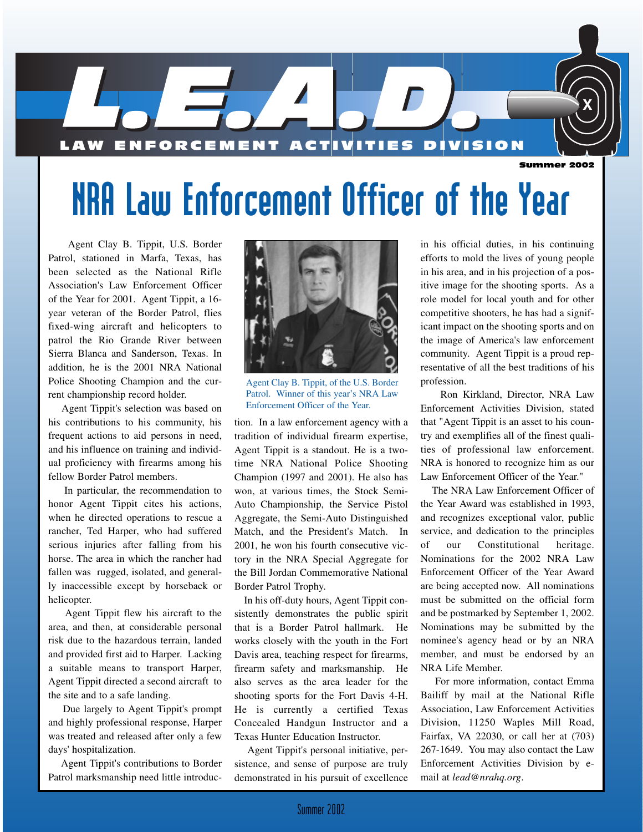

# NRA Law Enforcement Officer of the Year

Agent Clay B. Tippit, U.S. Border Patrol, stationed in Marfa, Texas, has been selected as the National Rifle Association's Law Enforcement Officer of the Year for 2001. Agent Tippit, a 16 year veteran of the Border Patrol, flies fixed-wing aircraft and helicopters to patrol the Rio Grande River between Sierra Blanca and Sanderson, Texas. In addition, he is the 2001 NRA National Police Shooting Champion and the current championship record holder.

Agent Tippit's selection was based on his contributions to his community, his frequent actions to aid persons in need, and his influence on training and individual proficiency with firearms among his fellow Border Patrol members.

In particular, the recommendation to honor Agent Tippit cites his actions, when he directed operations to rescue a rancher, Ted Harper, who had suffered serious injuries after falling from his horse. The area in which the rancher had fallen was rugged, isolated, and generally inaccessible except by horseback or helicopter.

Agent Tippit flew his aircraft to the area, and then, at considerable personal risk due to the hazardous terrain, landed and provided first aid to Harper. Lacking a suitable means to transport Harper, Agent Tippit directed a second aircraft to the site and to a safe landing.

Due largely to Agent Tippit's prompt and highly professional response, Harper was treated and released after only a few days' hospitalization.

Agent Tippit's contributions to Border Patrol marksmanship need little introduc-



Agent Clay B. Tippit, of the U.S. Border Patrol. Winner of this year's NRA Law Enforcement Officer of the Year.

tion. In a law enforcement agency with a tradition of individual firearm expertise, Agent Tippit is a standout. He is a twotime NRA National Police Shooting Champion (1997 and 2001). He also has won, at various times, the Stock Semi-Auto Championship, the Service Pistol Aggregate, the Semi-Auto Distinguished Match, and the President's Match. In 2001, he won his fourth consecutive victory in the NRA Special Aggregate for the Bill Jordan Commemorative National Border Patrol Trophy.

In his off-duty hours, Agent Tippit consistently demonstrates the public spirit that is a Border Patrol hallmark. He works closely with the youth in the Fort Davis area, teaching respect for firearms, firearm safety and marksmanship. He also serves as the area leader for the shooting sports for the Fort Davis 4-H. He is currently a certified Texas Concealed Handgun Instructor and a Texas Hunter Education Instructor.

Agent Tippit's personal initiative, persistence, and sense of purpose are truly demonstrated in his pursuit of excellence in his official duties, in his continuing efforts to mold the lives of young people in his area, and in his projection of a positive image for the shooting sports. As a role model for local youth and for other competitive shooters, he has had a significant impact on the shooting sports and on the image of America's law enforcement community. Agent Tippit is a proud representative of all the best traditions of his profession.

Ron Kirkland, Director, NRA Law Enforcement Activities Division, stated that "Agent Tippit is an asset to his country and exemplifies all of the finest qualities of professional law enforcement. NRA is honored to recognize him as our Law Enforcement Officer of the Year."

The NRA Law Enforcement Officer of the Year Award was established in 1993, and recognizes exceptional valor, public service, and dedication to the principles of our Constitutional heritage. Nominations for the 2002 NRA Law Enforcement Officer of the Year Award are being accepted now. All nominations must be submitted on the official form and be postmarked by September 1, 2002. Nominations may be submitted by the nominee's agency head or by an NRA member, and must be endorsed by an NRA Life Member.

For more information, contact Emma Bailiff by mail at the National Rifle Association, Law Enforcement Activities Division, 11250 Waples Mill Road, Fairfax, VA 22030, or call her at (703) 267-1649. You may also contact the Law Enforcement Activities Division by email at *lead@nrahq.org*.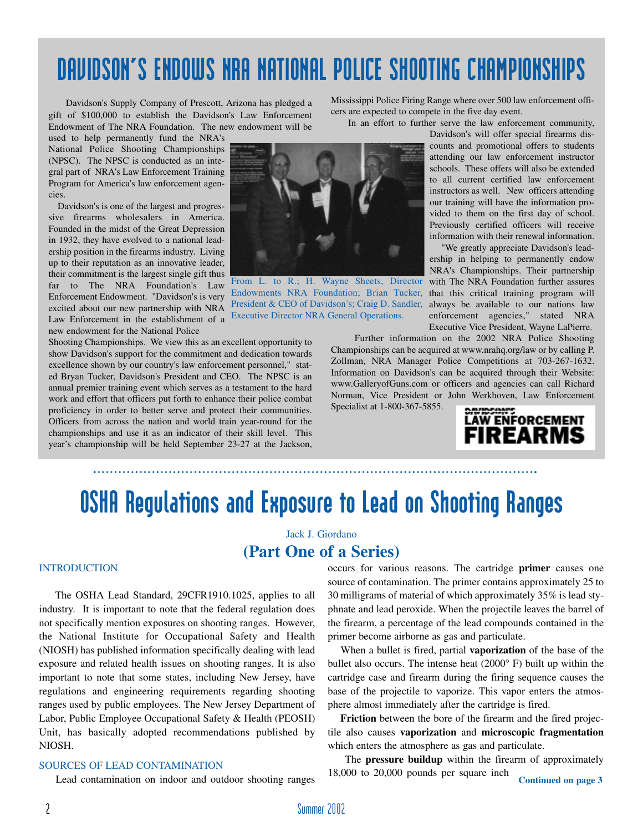## DAVIDSON'S ENDOWS NRA NATIONAL POLICE SHOOTING CHAMPIONSHIPS

Davidson's Supply Company of Prescott, Arizona has pledged a gift of \$100,000 to establish the Davidson's Law Enforcement Endowment of The NRA Foundation. The new endowment will be

used to help permanently fund the NRA's National Police Shooting Championships (NPSC). The NPSC is conducted as an integral part of NRA's Law Enforcement Training Program for America's law enforcement agencies.

Davidson's is one of the largest and progressive firearms wholesalers in America. Founded in the midst of the Great Depression in 1932, they have evolved to a national leadership position in the firearms industry. Living up to their reputation as an innovative leader, their commitment is the largest single gift thus far to The NRA Foundation's Law Enforcement Endowment. "Davidson's is very excited about our new partnership with NRA Law Enforcement in the establishment of a new endowment for the National Police

Shooting Championships. We view this as an excellent opportunity to show Davidson's support for the commitment and dedication towards excellence shown by our country's law enforcement personnel," stated Bryan Tucker, Davidson's President and CEO. The NPSC is an annual premier training event which serves as a testament to the hard work and effort that officers put forth to enhance their police combat proficiency in order to better serve and protect their communities. Officers from across the nation and world train year-round for the championships and use it as an indicator of their skill level. This year's championship will be held September 23-27 at the Jackson,

Endowments NRA Foundation; Brian Tucker, that this critical training program will President & CEO of Davidson's; Craig D. Sandler, always be available to our nations law Executive Director NRA General Operations.

Mississippi Police Firing Range where over 500 law enforcement officers are expected to compete in the five day event.

In an effort to further serve the law enforcement community,

Davidson's will offer special firearms discounts and promotional offers to students attending our law enforcement instructor schools. These offers will also be extended to all current certified law enforcement instructors as well. New officers attending our training will have the information provided to them on the first day of school. Previously certified officers will receive information with their renewal information.

"We greatly appreciate Davidson's leadership in helping to permanently endow NRA's Championships. Their partnership From L. to R.; H. Wayne Sheets, Director with The NRA Foundation further assures enforcement agencies," stated NRA Executive Vice President, Wayne LaPierre.

> Further information on the 2002 NRA Police Shooting Championships can be acquired at www.nrahq.org/law or by calling P. Zollman, NRA Manager Police Competitions at 703-267-1632. Information on Davidson's can be acquired through their Website: www.GalleryofGuns.com or officers and agencies can call Richard Norman, Vice President or John Werkhoven, Law Enforcement

Specialist at 1-800-367-5855.



## OSHA Regulations and Exposure to Lead on Shooting Ranges

### Jack J. Giordano **(Part One of a Series)**

#### INTRODUCTION

The OSHA Lead Standard, 29CFR1910.1025, applies to all industry. It is important to note that the federal regulation does not specifically mention exposures on shooting ranges. However, the National Institute for Occupational Safety and Health (NIOSH) has published information specifically dealing with lead exposure and related health issues on shooting ranges. It is also important to note that some states, including New Jersey, have regulations and engineering requirements regarding shooting ranges used by public employees. The New Jersey Department of Labor, Public Employee Occupational Safety & Health (PEOSH) Unit, has basically adopted recommendations published by NIOSH.

#### SOURCES OF LEAD CONTAMINATION

Lead contamination on indoor and outdoor shooting ranges

occurs for various reasons. The cartridge **primer** causes one source of contamination. The primer contains approximately 25 to 30 milligrams of material of which approximately 35% is lead styphnate and lead peroxide. When the projectile leaves the barrel of the firearm, a percentage of the lead compounds contained in the primer become airborne as gas and particulate.

When a bullet is fired, partial **vaporization** of the base of the bullet also occurs. The intense heat (2000° F) built up within the cartridge case and firearm during the firing sequence causes the base of the projectile to vaporize. This vapor enters the atmosphere almost immediately after the cartridge is fired.

**Friction** between the bore of the firearm and the fired projectile also causes **vaporization** and **microscopic fragmentation** which enters the atmosphere as gas and particulate.

The **pressure buildup** within the firearm of approximately 18,000 to 20,000 pounds per square inch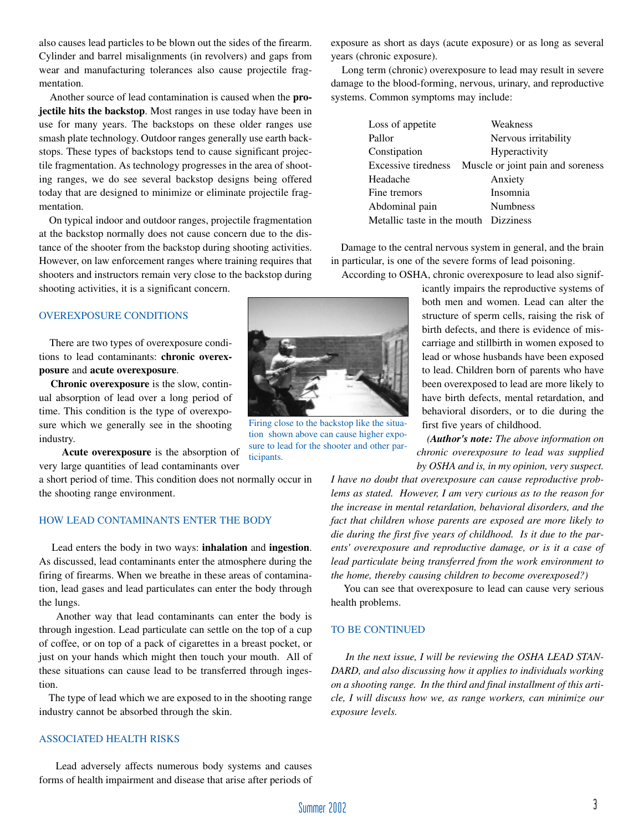also causes lead particles to be blown out the sides of the firearm. Cylinder and barrel misalignments (in revolvers) and gaps from wear and manufacturing tolerances also cause projectile fragmentation.

Another source of lead contamination is caused when the **projectile hits the backstop**. Most ranges in use today have been in use for many years. The backstops on these older ranges use smash plate technology. Outdoor ranges generally use earth backstops. These types of backstops tend to cause significant projectile fragmentation. As technology progresses in the area of shooting ranges, we do see several backstop designs being offered today that are designed to minimize or eliminate projectile fragmentation.

On typical indoor and outdoor ranges, projectile fragmentation at the backstop normally does not cause concern due to the distance of the shooter from the backstop during shooting activities. However, on law enforcement ranges where training requires that shooters and instructors remain very close to the backstop during shooting activities, it is a significant concern.

#### OVEREXPOSURE CONDITIONS

There are two types of overexposure conditions to lead contaminants: **chronic overexposure** and **acute overexposure**.

**Chronic overexposure** is the slow, continual absorption of lead over a long period of time. This condition is the type of overexposure which we generally see in the shooting industry.

**Acute overexposure** is the absorption of very large quantities of lead contaminants over

a short period of time. This condition does not normally occur in the shooting range environment.

#### HOW LEAD CONTAMINANTS ENTER THE BODY

Lead enters the body in two ways: **inhalation** and **ingestion**. As discussed, lead contaminants enter the atmosphere during the firing of firearms. When we breathe in these areas of contamination, lead gases and lead particulates can enter the body through the lungs.

Another way that lead contaminants can enter the body is through ingestion. Lead particulate can settle on the top of a cup of coffee, or on top of a pack of cigarettes in a breast pocket, or just on your hands which might then touch your mouth. All of these situations can cause lead to be transferred through ingestion.

The type of lead which we are exposed to in the shooting range industry cannot be absorbed through the skin.

#### ASSOCIATED HEALTH RISKS

Lead adversely affects numerous body systems and causes forms of health impairment and disease that arise after periods of exposure as short as days (acute exposure) or as long as several years (chronic exposure).

Long term (chronic) overexposure to lead may result in severe damage to the blood-forming, nervous, urinary, and reproductive systems. Common symptoms may include:

| Loss of appetite                      | Weakness                          |
|---------------------------------------|-----------------------------------|
| Pallor                                | Nervous irritability              |
| Constipation                          | Hyperactivity                     |
| Excessive tiredness                   | Muscle or joint pain and soreness |
| Headache                              | Anxiety                           |
| Fine tremors                          | Insomnia                          |
| Abdominal pain                        | <b>Numbness</b>                   |
| Metallic taste in the mouth Dizziness |                                   |

Damage to the central nervous system in general, and the brain in particular, is one of the severe forms of lead poisoning.

According to OSHA, chronic overexposure to lead also signif-

icantly impairs the reproductive systems of both men and women. Lead can alter the structure of sperm cells, raising the risk of birth defects, and there is evidence of miscarriage and stillbirth in women exposed to lead or whose husbands have been exposed to lead. Children born of parents who have been overexposed to lead are more likely to have birth defects, mental retardation, and behavioral disorders, or to die during the first five years of childhood.

*(Author's note: The above information on chronic overexposure to lead was supplied by OSHA and is, in my opinion, very suspect.*

*I have no doubt that overexposure can cause reproductive problems as stated. However, I am very curious as to the reason for the increase in mental retardation, behavioral disorders, and the fact that children whose parents are exposed are more likely to die during the first five years of childhood. Is it due to the parents' overexposure and reproductive damage, or is it a case of lead particulate being transferred from the work environment to the home, thereby causing children to become overexposed?)*

You can see that overexposure to lead can cause very serious health problems.

#### TO BE CONTINUED

*In the next issue, I will be reviewing the OSHA LEAD STAN-DARD, and also discussing how it applies to individuals working on a shooting range. In the third and final installment of this article, I will discuss how we, as range workers, can minimize our exposure levels.*



Firing close to the backstop like the situation shown above can cause higher exposure to lead for the shooter and other participants.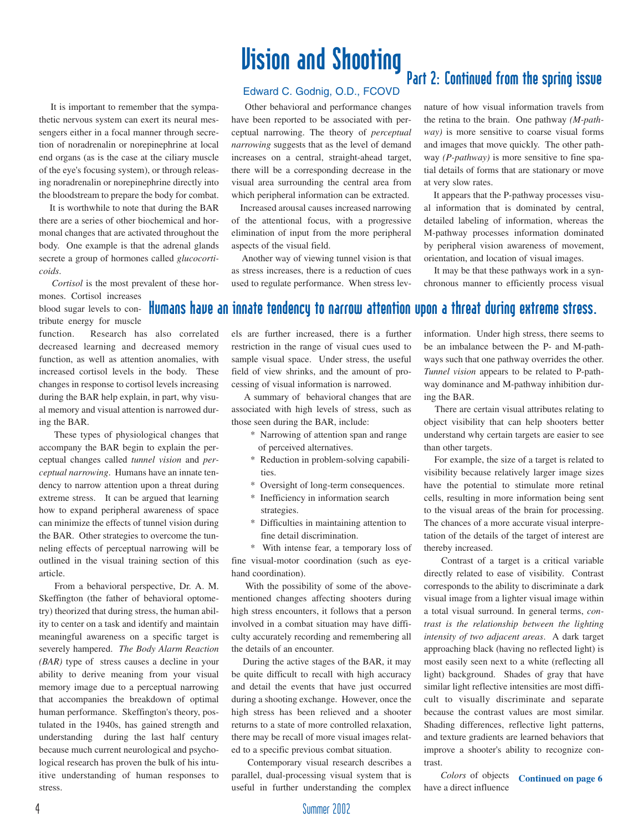## Vision and Shooting

It is important to remember that the sympathetic nervous system can exert its neural messengers either in a focal manner through secretion of noradrenalin or norepinephrine at local end organs (as is the case at the ciliary muscle of the eye's focusing system), or through releasing noradrenalin or norepinephrine directly into the bloodstream to prepare the body for combat.

It is worthwhile to note that during the BAR there are a series of other biochemical and hormonal changes that are activated throughout the body. One example is that the adrenal glands secrete a group of hormones called *glucocorticoids*.

*Cortisol* is the most prevalent of these hor-

mones. Cortisol increases blood sugar levels to contribute energy for muscle

function. Research has also correlated decreased learning and decreased memory function, as well as attention anomalies, with increased cortisol levels in the body. These changes in response to cortisol levels increasing during the BAR help explain, in part, why visual memory and visual attention is narrowed during the BAR.

These types of physiological changes that accompany the BAR begin to explain the perceptual changes called *tunnel vision* and *perceptual narrowing*. Humans have an innate tendency to narrow attention upon a threat during extreme stress. It can be argued that learning how to expand peripheral awareness of space can minimize the effects of tunnel vision during the BAR. Other strategies to overcome the tunneling effects of perceptual narrowing will be outlined in the visual training section of this article.

From a behavioral perspective, Dr. A. M. Skeffington (the father of behavioral optometry) theorized that during stress, the human ability to center on a task and identify and maintain meaningful awareness on a specific target is severely hampered. *The Body Alarm Reaction (BAR)* type of stress causes a decline in your ability to derive meaning from your visual memory image due to a perceptual narrowing that accompanies the breakdown of optimal human performance. Skeffington's theory, postulated in the 1940s, has gained strength and understanding during the last half century because much current neurological and psychological research has proven the bulk of his intuitive understanding of human responses to stress.

#### Edward C. Godnig, O.D., FCOVD

Other behavioral and performance changes have been reported to be associated with perceptual narrowing. The theory of *perceptual narrowing* suggests that as the level of demand increases on a central, straight-ahead target, there will be a corresponding decrease in the visual area surrounding the central area from which peripheral information can be extracted.

Increased arousal causes increased narrowing of the attentional focus, with a progressive elimination of input from the more peripheral aspects of the visual field.

Another way of viewing tunnel vision is that as stress increases, there is a reduction of cues used to regulate performance. When stress levnature of how visual information travels from the retina to the brain. One pathway *(M-pathway)* is more sensitive to coarse visual forms and images that move quickly. The other pathway *(P-pathway)* is more sensitive to fine spatial details of forms that are stationary or move at very slow rates.

It appears that the P-pathway processes visual information that is dominated by central, detailed labeling of information, whereas the M-pathway processes information dominated by peripheral vision awareness of movement, orientation, and location of visual images.

It may be that these pathways work in a synchronous manner to efficiently process visual

## Humans have an innate tendency to narrow attention upon a threat during extreme stress.

els are further increased, there is a further restriction in the range of visual cues used to sample visual space. Under stress, the useful field of view shrinks, and the amount of processing of visual information is narrowed.

A summary of behavioral changes that are associated with high levels of stress, such as those seen during the BAR, include:

- \* Narrowing of attention span and range of perceived alternatives.
- \* Reduction in problem-solving capabilities.
- \* Oversight of long-term consequences.
- \* Inefficiency in information search strategies.
- \* Difficulties in maintaining attention to fine detail discrimination.

\* With intense fear, a temporary loss of fine visual-motor coordination (such as eyehand coordination).

With the possibility of some of the abovementioned changes affecting shooters during high stress encounters, it follows that a person involved in a combat situation may have difficulty accurately recording and remembering all the details of an encounter.

During the active stages of the BAR, it may be quite difficult to recall with high accuracy and detail the events that have just occurred during a shooting exchange. However, once the high stress has been relieved and a shooter returns to a state of more controlled relaxation, there may be recall of more visual images related to a specific previous combat situation.

Contemporary visual research describes a parallel, dual-processing visual system that is useful in further understanding the complex

information. Under high stress, there seems to be an imbalance between the P- and M-pathways such that one pathway overrides the other. *Tunnel vision* appears to be related to P-pathway dominance and M-pathway inhibition during the BAR.

There are certain visual attributes relating to object visibility that can help shooters better understand why certain targets are easier to see than other targets.

For example, the size of a target is related to visibility because relatively larger image sizes have the potential to stimulate more retinal cells, resulting in more information being sent to the visual areas of the brain for processing. The chances of a more accurate visual interpretation of the details of the target of interest are thereby increased.

Contrast of a target is a critical variable directly related to ease of visibility. Contrast corresponds to the ability to discriminate a dark visual image from a lighter visual image within a total visual surround. In general terms, *contrast is the relationship between the lighting intensity of two adjacent areas*. A dark target approaching black (having no reflected light) is most easily seen next to a white (reflecting all light) background. Shades of gray that have similar light reflective intensities are most difficult to visually discriminate and separate because the contrast values are most similar. Shading differences, reflective light patterns, and texture gradients are learned behaviors that improve a shooter's ability to recognize contrast.

*Colors* of objects have a direct influence **Continued on page 6**

## Part 2: Continued from the spring issue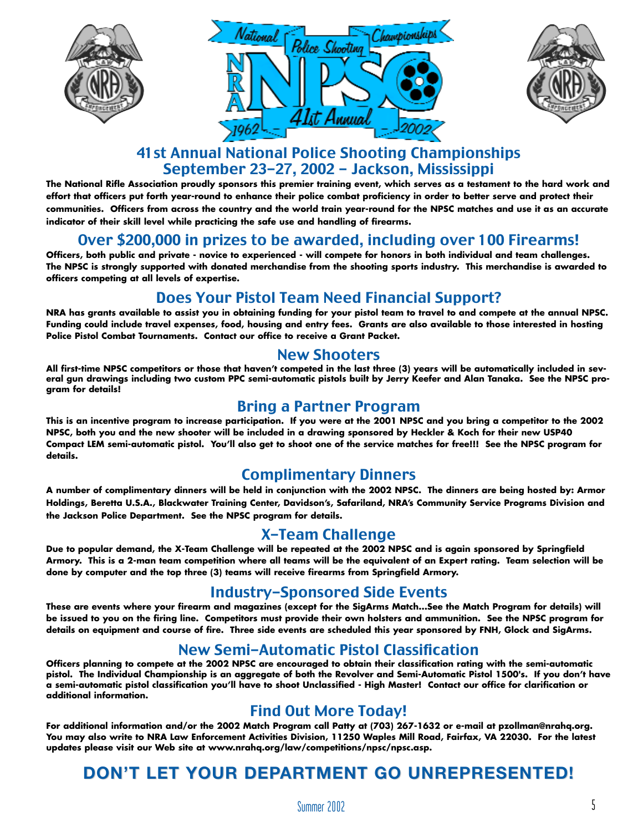





## 41st Annual National Police Shooting Championships September 23-27, 2002 - Jackson, Mississippi

**The National Rifle Association proudly sponsors this premier training event, which serves as a testament to the hard work and effort that officers put forth year-round to enhance their police combat proficiency in order to better serve and protect their communities. Officers from across the country and the world train year-round for the NPSC matches and use it as an accurate indicator of their skill level while practicing the safe use and handling of firearms.**

## Over \$200,000 in prizes to be awarded, including over 100 Firearms!

**Officers, both public and private - novice to experienced - will compete for honors in both individual and team challenges. The NPSC is strongly supported with donated merchandise from the shooting sports industry. This merchandise is awarded to officers competing at all levels of expertise.**

## Does Your Pistol Team Need Financial Support?

**NRA has grants available to assist you in obtaining funding for your pistol team to travel to and compete at the annual NPSC. Funding could include travel expenses, food, housing and entry fees. Grants are also available to those interested in hosting Police Pistol Combat Tournaments. Contact our office to receive a Grant Packet.**

#### New Shooters

**All first-time NPSC competitors or those that haven't competed in the last three (3) years will be automatically included in several gun drawings including two custom PPC semi-automatic pistols built by Jerry Keefer and Alan Tanaka. See the NPSC program for details!**

### Bring a Partner Program

**This is an incentive program to increase participation. If you were at the 2001 NPSC and you bring a competitor to the 2002 NPSC, both you and the new shooter will be included in a drawing sponsored by Heckler & Koch for their new USP40 Compact LEM semi-automatic pistol. You'll also get to shoot one of the service matches for free!!! See the NPSC program for details.**

## Complimentary Dinners

**A number of complimentary dinners will be held in conjunction with the 2002 NPSC. The dinners are being hosted by: Armor Holdings, Beretta U.S.A., Blackwater Training Center, Davidson's, Safariland, NRA's Community Service Programs Division and the Jackson Police Department. See the NPSC program for details.**

## X-Team Challenge

**Due to popular demand, the X-Team Challenge will be repeated at the 2002 NPSC and is again sponsored by Springfield Armory. This is a 2-man team competition where all teams will be the equivalent of an Expert rating. Team selection will be done by computer and the top three (3) teams will receive firearms from Springfield Armory.**

### Industry-Sponsored Side Events

**These are events where your firearm and magazines (except for the SigArms Match...See the Match Program for details) will be issued to you on the firing line. Competitors must provide their own holsters and ammunition. See the NPSC program for details on equipment and course of fire. Three side events are scheduled this year sponsored by FNH, Glock and SigArms.**

## New Semi-Automatic Pistol Classification

**Officers planning to compete at the 2002 NPSC are encouraged to obtain their classification rating with the semi-automatic pistol. The Individual Championship is an aggregate of both the Revolver and Semi-Automatic Pistol 1500's. If you don't have a semi-automatic pistol classification you'll have to shoot Unclassified - High Master! Contact our office for clarification or additional information.**

### Find Out More Today!

**For additional information and/or the 2002 Match Program call Patty at (703) 267-1632 or e-mail at pzollman@nrahq.org. You may also write to NRA Law Enforcement Activities Division, 11250 Waples Mill Road, Fairfax, VA 22030. For the latest updates please visit our Web site at www.nrahq.org/law/competitions/npsc/npsc.asp.** 

## **DON'T LET YOUR DEPARTMENT GO UNREPRESENTED!**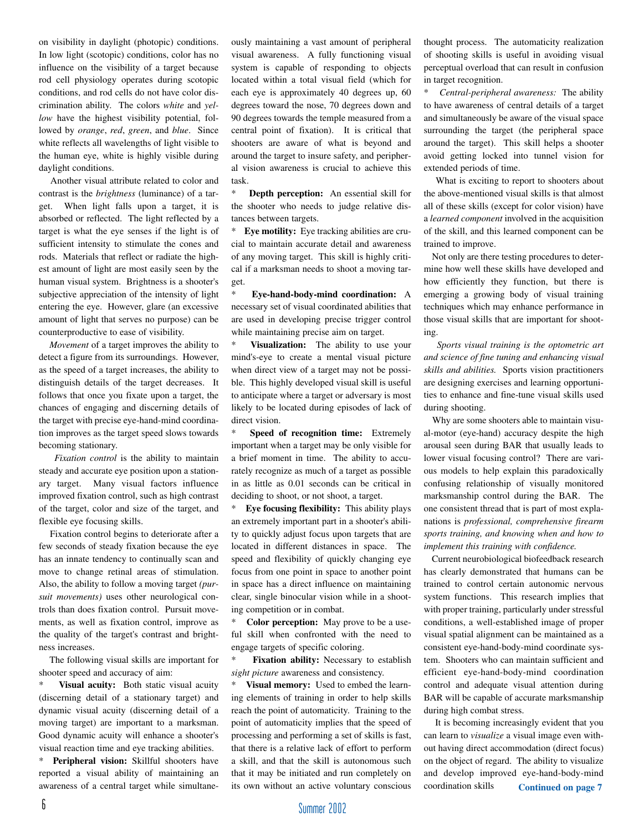on visibility in daylight (photopic) conditions. In low light (scotopic) conditions, color has no influence on the visibility of a target because rod cell physiology operates during scotopic conditions, and rod cells do not have color discrimination ability. The colors *white* and *yellow* have the highest visibility potential, followed by *orange*, *red*, *green*, and *blue*. Since white reflects all wavelengths of light visible to the human eye, white is highly visible during daylight conditions.

Another visual attribute related to color and contrast is the *brightness* (luminance) of a target. When light falls upon a target, it is absorbed or reflected. The light reflected by a target is what the eye senses if the light is of sufficient intensity to stimulate the cones and rods. Materials that reflect or radiate the highest amount of light are most easily seen by the human visual system. Brightness is a shooter's subjective appreciation of the intensity of light entering the eye. However, glare (an excessive amount of light that serves no purpose) can be counterproductive to ease of visibility.

*Movement* of a target improves the ability to detect a figure from its surroundings. However, as the speed of a target increases, the ability to distinguish details of the target decreases. It follows that once you fixate upon a target, the chances of engaging and discerning details of the target with precise eye-hand-mind coordination improves as the target speed slows towards becoming stationary.

*Fixation control* is the ability to maintain steady and accurate eye position upon a stationary target. Many visual factors influence improved fixation control, such as high contrast of the target, color and size of the target, and flexible eye focusing skills.

Fixation control begins to deteriorate after a few seconds of steady fixation because the eye has an innate tendency to continually scan and move to change retinal areas of stimulation. Also, the ability to follow a moving target *(pursuit movements)* uses other neurological controls than does fixation control. Pursuit movements, as well as fixation control, improve as the quality of the target's contrast and brightness increases.

The following visual skills are important for shooter speed and accuracy of aim:

**Visual acuity:** Both static visual acuity (discerning detail of a stationary target) and dynamic visual acuity (discerning detail of a moving target) are important to a marksman. Good dynamic acuity will enhance a shooter's visual reaction time and eye tracking abilities.

\* **Peripheral vision:** Skillful shooters have reported a visual ability of maintaining an awareness of a central target while simultane-

ously maintaining a vast amount of peripheral visual awareness. A fully functioning visual system is capable of responding to objects located within a total visual field (which for each eye is approximately 40 degrees up, 60 degrees toward the nose, 70 degrees down and 90 degrees towards the temple measured from a central point of fixation). It is critical that shooters are aware of what is beyond and around the target to insure safety, and peripheral vision awareness is crucial to achieve this task.

\* **Depth perception:** An essential skill for the shooter who needs to judge relative distances between targets.

\* **Eye motility:** Eye tracking abilities are crucial to maintain accurate detail and awareness of any moving target. This skill is highly critical if a marksman needs to shoot a moving target.

\* **Eye-hand-body-mind coordination:** A necessary set of visual coordinated abilities that are used in developing precise trigger control while maintaining precise aim on target.

Visualization: The ability to use your mind's-eye to create a mental visual picture when direct view of a target may not be possible. This highly developed visual skill is useful to anticipate where a target or adversary is most likely to be located during episodes of lack of direct vision.

**Speed of recognition time:** Extremely important when a target may be only visible for a brief moment in time. The ability to accurately recognize as much of a target as possible in as little as 0.01 seconds can be critical in deciding to shoot, or not shoot, a target.

**Eye focusing flexibility:** This ability plays an extremely important part in a shooter's ability to quickly adjust focus upon targets that are located in different distances in space. The speed and flexibility of quickly changing eye focus from one point in space to another point in space has a direct influence on maintaining clear, single binocular vision while in a shooting competition or in combat.

**Color perception:** May prove to be a useful skill when confronted with the need to engage targets of specific coloring.

Fixation ability: Necessary to establish *sight picture* awareness and consistency.

**Visual memory:** Used to embed the learning elements of training in order to help skills reach the point of automaticity. Training to the point of automaticity implies that the speed of processing and performing a set of skills is fast, that there is a relative lack of effort to perform a skill, and that the skill is autonomous such that it may be initiated and run completely on its own without an active voluntary conscious

thought process. The automaticity realization of shooting skills is useful in avoiding visual perceptual overload that can result in confusion in target recognition.

\* *Central-peripheral awareness:* The ability to have awareness of central details of a target and simultaneously be aware of the visual space surrounding the target (the peripheral space around the target). This skill helps a shooter avoid getting locked into tunnel vision for extended periods of time.

What is exciting to report to shooters about the above-mentioned visual skills is that almost all of these skills (except for color vision) have a *learned component* involved in the acquisition of the skill, and this learned component can be trained to improve.

Not only are there testing procedures to determine how well these skills have developed and how efficiently they function, but there is emerging a growing body of visual training techniques which may enhance performance in those visual skills that are important for shooting.

*Sports visual training is the optometric art and science of fine tuning and enhancing visual skills and abilities.* Sports vision practitioners are designing exercises and learning opportunities to enhance and fine-tune visual skills used during shooting.

Why are some shooters able to maintain visual-motor (eye-hand) accuracy despite the high arousal seen during BAR that usually leads to lower visual focusing control? There are various models to help explain this paradoxically confusing relationship of visually monitored marksmanship control during the BAR. The one consistent thread that is part of most explanations is *professional, comprehensive firearm sports training, and knowing when and how to implement this training with confidence.*

Current neurobiological biofeedback research has clearly demonstrated that humans can be trained to control certain autonomic nervous system functions. This research implies that with proper training, particularly under stressful conditions, a well-established image of proper visual spatial alignment can be maintained as a consistent eye-hand-body-mind coordinate system. Shooters who can maintain sufficient and efficient eye-hand-body-mind coordination control and adequate visual attention during BAR will be capable of accurate marksmanship during high combat stress.

It is becoming increasingly evident that you can learn to *visualize* a visual image even without having direct accommodation (direct focus) on the object of regard. The ability to visualize and develop improved eye-hand-body-mind coordination skills **Continued on page 7**